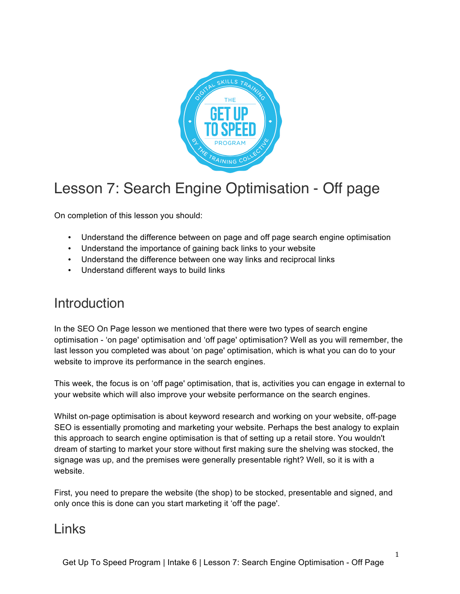

# Lesson 7: Search Engine Optimisation - Off page

On completion of this lesson you should:

- Understand the difference between on page and off page search engine optimisation
- Understand the importance of gaining back links to your website
- Understand the difference between one way links and reciprocal links
- Understand different ways to build links

## Introduction

In the SEO On Page lesson we mentioned that there were two types of search engine optimisation - 'on page' optimisation and 'off page' optimisation? Well as you will remember, the last lesson you completed was about 'on page' optimisation, which is what you can do to your website to improve its performance in the search engines.

This week, the focus is on 'off page' optimisation, that is, activities you can engage in external to your website which will also improve your website performance on the search engines.

Whilst on-page optimisation is about keyword research and working on your website, off-page SEO is essentially promoting and marketing your website. Perhaps the best analogy to explain this approach to search engine optimisation is that of setting up a retail store. You wouldn't dream of starting to market your store without first making sure the shelving was stocked, the signage was up, and the premises were generally presentable right? Well, so it is with a website.

First, you need to prepare the website (the shop) to be stocked, presentable and signed, and only once this is done can you start marketing it 'off the page'.

## Links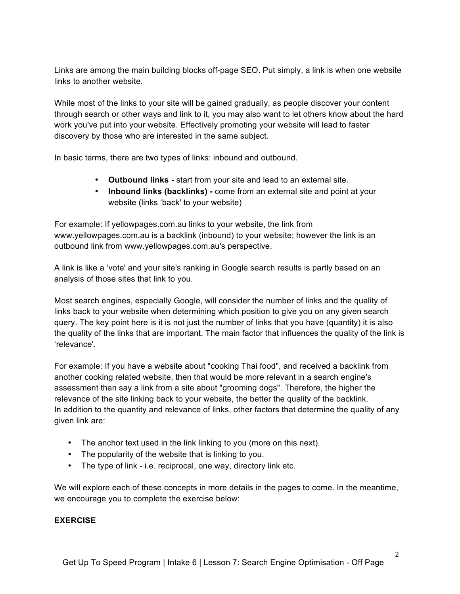Links are among the main building blocks off-page SEO. Put simply, a link is when one website links to another website.

While most of the links to your site will be gained gradually, as people discover your content through search or other ways and link to it, you may also want to let others know about the hard work you've put into your website. Effectively promoting your website will lead to faster discovery by those who are interested in the same subject.

In basic terms, there are two types of links: inbound and outbound.

- **Outbound links -** start from your site and lead to an external site.
- **Inbound links (backlinks) -** come from an external site and point at your website (links 'back' to your website)

For example: If yellowpages.com.au links to your website, the link from www.yellowpages.com.au is a backlink (inbound) to your website; however the link is an outbound link from www.yellowpages.com.au's perspective.

A link is like a 'vote' and your site's ranking in Google search results is partly based on an analysis of those sites that link to you.

Most search engines, especially Google, will consider the number of links and the quality of links back to your website when determining which position to give you on any given search query. The key point here is it is not just the number of links that you have (quantity) it is also the quality of the links that are important. The main factor that influences the quality of the link is 'relevance'.

For example: If you have a website about "cooking Thai food", and received a backlink from another cooking related website, then that would be more relevant in a search engine's assessment than say a link from a site about "grooming dogs". Therefore, the higher the relevance of the site linking back to your website, the better the quality of the backlink. In addition to the quantity and relevance of links, other factors that determine the quality of any given link are:

- The anchor text used in the link linking to you (more on this next).
- The popularity of the website that is linking to you.
- The type of link i.e. reciprocal, one way, directory link etc.

We will explore each of these concepts in more details in the pages to come. In the meantime, we encourage you to complete the exercise below:

### **EXERCISE**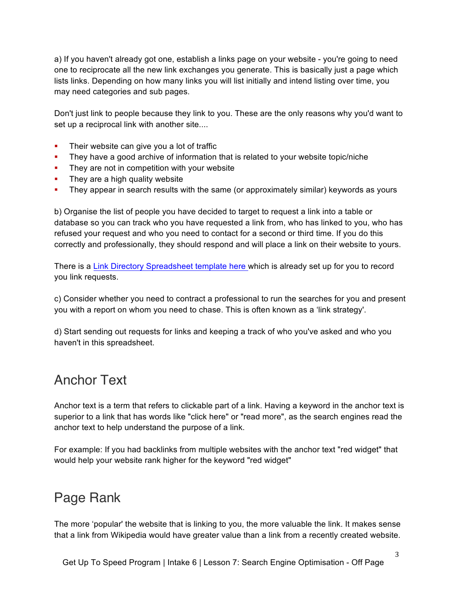a) If you haven't already got one, establish a links page on your website - you're going to need one to reciprocate all the new link exchanges you generate. This is basically just a page which lists links. Depending on how many links you will list initially and intend listing over time, you may need categories and sub pages.

Don't just link to people because they link to you. These are the only reasons why you'd want to set up a reciprocal link with another site....

- Their website can give you a lot of traffic
- They have a good archive of information that is related to your website topic/niche
- They are not in competition with your website
- They are a high quality website
- They appear in search results with the same (or approximately similar) keywords as yours

b) Organise the list of people you have decided to target to request a link into a table or database so you can track who you have requested a link from, who has linked to you, who has refused your request and who you need to contact for a second or third time. If you do this correctly and professionally, they should respond and will place a link on their website to yours.

There is a Link Directory Spreadsheet template here which is already set up for you to record you link requests.

c) Consider whether you need to contract a professional to run the searches for you and present you with a report on whom you need to chase. This is often known as a 'link strategy'.

d) Start sending out requests for links and keeping a track of who you've asked and who you haven't in this spreadsheet.

# Anchor Text

Anchor text is a term that refers to clickable part of a link. Having a keyword in the anchor text is superior to a link that has words like "click here" or "read more", as the search engines read the anchor text to help understand the purpose of a link.

For example: If you had backlinks from multiple websites with the anchor text "red widget" that would help your website rank higher for the keyword "red widget"

# Page Rank

The more 'popular' the website that is linking to you, the more valuable the link. It makes sense that a link from Wikipedia would have greater value than a link from a recently created website.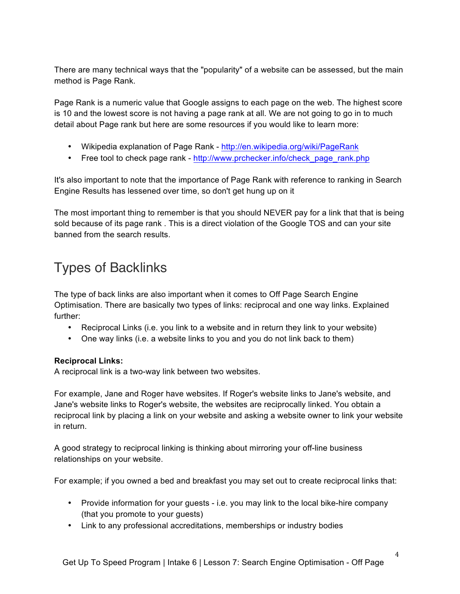There are many technical ways that the "popularity" of a website can be assessed, but the main method is Page Rank.

Page Rank is a numeric value that Google assigns to each page on the web. The highest score is 10 and the lowest score is not having a page rank at all. We are not going to go in to much detail about Page rank but here are some resources if you would like to learn more:

- Wikipedia explanation of Page Rank http://en.wikipedia.org/wiki/PageRank
- Free tool to check page rank http://www.prchecker.info/check\_page\_rank.php

It's also important to note that the importance of Page Rank with reference to ranking in Search Engine Results has lessened over time, so don't get hung up on it

The most important thing to remember is that you should NEVER pay for a link that that is being sold because of its page rank . This is a direct violation of the Google TOS and can your site banned from the search results.

# Types of Backlinks

The type of back links are also important when it comes to Off Page Search Engine Optimisation. There are basically two types of links: reciprocal and one way links. Explained further:

- Reciprocal Links (i.e. you link to a website and in return they link to your website)
- One way links (i.e. a website links to you and you do not link back to them)

## **Reciprocal Links:**

A reciprocal link is a two-way link between two websites.

For example, Jane and Roger have websites. If Roger's website links to Jane's website, and Jane's website links to Roger's website, the websites are reciprocally linked. You obtain a reciprocal link by placing a link on your website and asking a website owner to link your website in return.

A good strategy to reciprocal linking is thinking about mirroring your off-line business relationships on your website.

For example; if you owned a bed and breakfast you may set out to create reciprocal links that:

- Provide information for your guests i.e. you may link to the local bike-hire company (that you promote to your guests)
- Link to any professional accreditations, memberships or industry bodies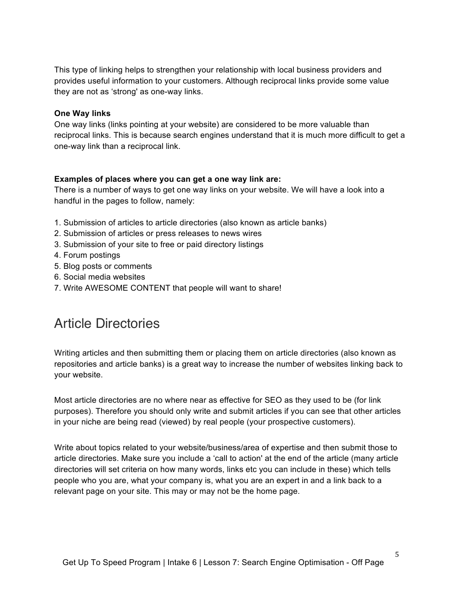This type of linking helps to strengthen your relationship with local business providers and provides useful information to your customers. Although reciprocal links provide some value they are not as 'strong' as one-way links.

#### **One Way links**

One way links (links pointing at your website) are considered to be more valuable than reciprocal links. This is because search engines understand that it is much more difficult to get a one-way link than a reciprocal link.

#### **Examples of places where you can get a one way link are:**

There is a number of ways to get one way links on your website. We will have a look into a handful in the pages to follow, namely:

- 1. Submission of articles to article directories (also known as article banks)
- 2. Submission of articles or press releases to news wires
- 3. Submission of your site to free or paid directory listings
- 4. Forum postings
- 5. Blog posts or comments
- 6. Social media websites
- 7. Write AWESOME CONTENT that people will want to share!

## Article Directories

Writing articles and then submitting them or placing them on article directories (also known as repositories and article banks) is a great way to increase the number of websites linking back to your website.

Most article directories are no where near as effective for SEO as they used to be (for link purposes). Therefore you should only write and submit articles if you can see that other articles in your niche are being read (viewed) by real people (your prospective customers).

Write about topics related to your website/business/area of expertise and then submit those to article directories. Make sure you include a 'call to action' at the end of the article (many article directories will set criteria on how many words, links etc you can include in these) which tells people who you are, what your company is, what you are an expert in and a link back to a relevant page on your site. This may or may not be the home page.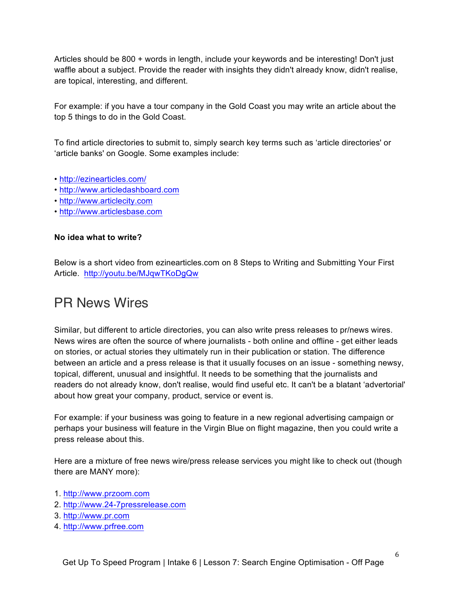Articles should be 800 + words in length, include your keywords and be interesting! Don't just waffle about a subject. Provide the reader with insights they didn't already know, didn't realise, are topical, interesting, and different.

For example: if you have a tour company in the Gold Coast you may write an article about the top 5 things to do in the Gold Coast.

To find article directories to submit to, simply search key terms such as 'article directories' or 'article banks' on Google. Some examples include:

- http://ezinearticles.com/
- http://www.articledashboard.com
- http://www.articlecity.com
- http://www.articlesbase.com

### **No idea what to write?**

Below is a short video from ezinearticles.com on 8 Steps to Writing and Submitting Your First Article. http://youtu.be/MJqwTKoDgQw

## PR News Wires

Similar, but different to article directories, you can also write press releases to pr/news wires. News wires are often the source of where journalists - both online and offline - get either leads on stories, or actual stories they ultimately run in their publication or station. The difference between an article and a press release is that it usually focuses on an issue - something newsy, topical, different, unusual and insightful. It needs to be something that the journalists and readers do not already know, don't realise, would find useful etc. It can't be a blatant 'advertorial' about how great your company, product, service or event is.

For example: if your business was going to feature in a new regional advertising campaign or perhaps your business will feature in the Virgin Blue on flight magazine, then you could write a press release about this.

Here are a mixture of free news wire/press release services you might like to check out (though there are MANY more):

- 1. http://www.przoom.com
- 2. http://www.24-7pressrelease.com
- 3. http://www.pr.com
- 4. http://www.prfree.com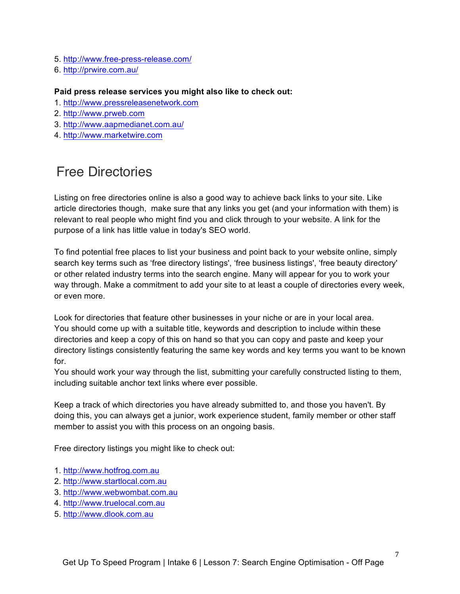- 5. http://www.free-press-release.com/
- 6. http://prwire.com.au/

#### **Paid press release services you might also like to check out:**

- 1. http://www.pressreleasenetwork.com
- 2. http://www.prweb.com
- 3. http://www.aapmedianet.com.au/
- 4. http://www.marketwire.com

## Free Directories

Listing on free directories online is also a good way to achieve back links to your site. Like article directories though, make sure that any links you get (and your information with them) is relevant to real people who might find you and click through to your website. A link for the purpose of a link has little value in today's SEO world.

To find potential free places to list your business and point back to your website online, simply search key terms such as 'free directory listings', 'free business listings', 'free beauty directory' or other related industry terms into the search engine. Many will appear for you to work your way through. Make a commitment to add your site to at least a couple of directories every week, or even more.

Look for directories that feature other businesses in your niche or are in your local area. You should come up with a suitable title, keywords and description to include within these directories and keep a copy of this on hand so that you can copy and paste and keep your directory listings consistently featuring the same key words and key terms you want to be known for.

You should work your way through the list, submitting your carefully constructed listing to them, including suitable anchor text links where ever possible.

Keep a track of which directories you have already submitted to, and those you haven't. By doing this, you can always get a junior, work experience student, family member or other staff member to assist you with this process on an ongoing basis.

Free directory listings you might like to check out:

- 1. http://www.hotfrog.com.au
- 2. http://www.startlocal.com.au
- 3. http://www.webwombat.com.au
- 4. http://www.truelocal.com.au
- 5. http://www.dlook.com.au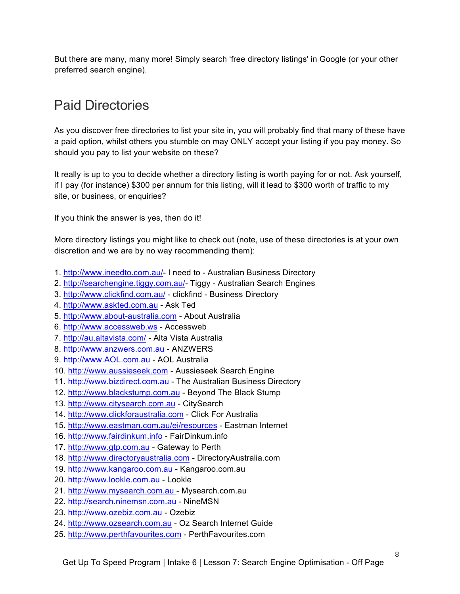But there are many, many more! Simply search 'free directory listings' in Google (or your other preferred search engine).

# Paid Directories

As you discover free directories to list your site in, you will probably find that many of these have a paid option, whilst others you stumble on may ONLY accept your listing if you pay money. So should you pay to list your website on these?

It really is up to you to decide whether a directory listing is worth paying for or not. Ask yourself, if I pay (for instance) \$300 per annum for this listing, will it lead to \$300 worth of traffic to my site, or business, or enquiries?

If you think the answer is yes, then do it!

More directory listings you might like to check out (note, use of these directories is at your own discretion and we are by no way recommending them):

- 1. http://www.ineedto.com.au/- I need to Australian Business Directory
- 2. http://searchengine.tiggy.com.au/- Tiggy Australian Search Engines
- 3. http://www.clickfind.com.au/ clickfind Business Directory
- 4. http://www.askted.com.au Ask Ted
- 5. http://www.about-australia.com About Australia
- 6. http://www.accessweb.ws Accessweb
- 7. http://au.altavista.com/ Alta Vista Australia
- 8. http://www.anzwers.com.au ANZWERS
- 9. http://www.AOL.com.au AOL Australia
- 10. http://www.aussieseek.com Aussieseek Search Engine
- 11. http://www.bizdirect.com.au The Australian Business Directory
- 12. http://www.blackstump.com.au Beyond The Black Stump
- 13. http://www.citysearch.com.au CitySearch
- 14. http://www.clickforaustralia.com Click For Australia
- 15. http://www.eastman.com.au/ei/resources Eastman Internet
- 16. http://www.fairdinkum.info FairDinkum.info
- 17. http://www.gtp.com.au Gateway to Perth
- 18. http://www.directoryaustralia.com DirectoryAustralia.com
- 19. http://www.kangaroo.com.au Kangaroo.com.au
- 20. http://www.lookle.com.au Lookle
- 21. http://www.mysearch.com.au Mysearch.com.au
- 22. http://search.ninemsn.com.au NineMSN
- 23. http://www.ozebiz.com.au Ozebiz
- 24. http://www.ozsearch.com.au Oz Search Internet Guide
- 25. http://www.perthfavourites.com PerthFavourites.com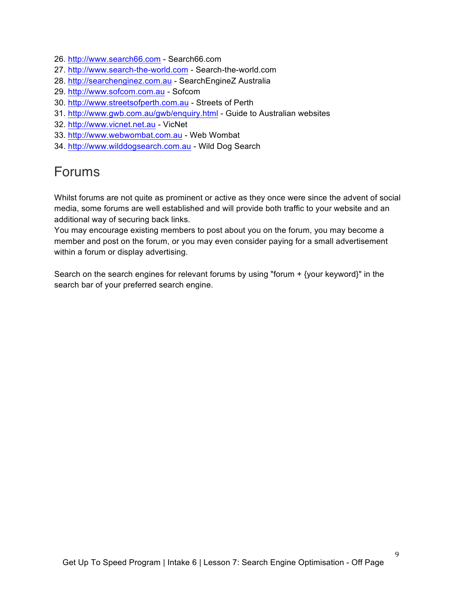- 26. http://www.search66.com Search66.com
- 27. http://www.search-the-world.com Search-the-world.com
- 28. http://searchenginez.com.au SearchEngineZ Australia
- 29. http://www.sofcom.com.au Sofcom
- 30. http://www.streetsofperth.com.au Streets of Perth
- 31. http://www.gwb.com.au/gwb/enquiry.html Guide to Australian websites
- 32. http://www.vicnet.net.au VicNet
- 33. http://www.webwombat.com.au Web Wombat
- 34. http://www.wilddogsearch.com.au Wild Dog Search

## Forums

Whilst forums are not quite as prominent or active as they once were since the advent of social media, some forums are well established and will provide both traffic to your website and an additional way of securing back links.

You may encourage existing members to post about you on the forum, you may become a member and post on the forum, or you may even consider paying for a small advertisement within a forum or display advertising.

Search on the search engines for relevant forums by using "forum + {your keyword}" in the search bar of your preferred search engine.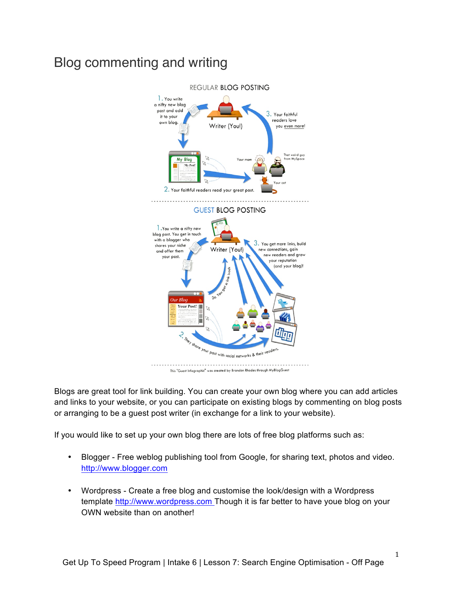# Blog commenting and writing



This "Guest Infographic" was created by Brandon Rhodes through MyBlogGuest

Blogs are great tool for link building. You can create your own blog where you can add articles and links to your website, or you can participate on existing blogs by commenting on blog posts or arranging to be a guest post writer (in exchange for a link to your website).

If you would like to set up your own blog there are lots of free blog platforms such as:

- Blogger Free weblog publishing tool from Google, for sharing text, photos and video. http://www.blogger.com
- Wordpress Create a free blog and customise the look/design with a Wordpress template http://www.wordpress.com Though it is far better to have youe blog on your OWN website than on another!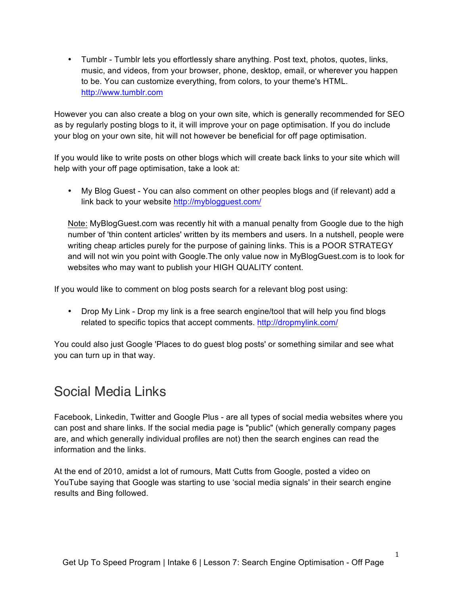• Tumblr - Tumblr lets you effortlessly share anything. Post text, photos, quotes, links, music, and videos, from your browser, phone, desktop, email, or wherever you happen to be. You can customize everything, from colors, to your theme's HTML. http://www.tumblr.com

However you can also create a blog on your own site, which is generally recommended for SEO as by regularly posting blogs to it, it will improve your on page optimisation. If you do include your blog on your own site, hit will not however be beneficial for off page optimisation.

If you would like to write posts on other blogs which will create back links to your site which will help with your off page optimisation, take a look at:

• My Blog Guest - You can also comment on other peoples blogs and (if relevant) add a link back to your website http://myblogguest.com/

Note: MyBlogGuest.com was recently hit with a manual penalty from Google due to the high number of 'thin content articles' written by its members and users. In a nutshell, people were writing cheap articles purely for the purpose of gaining links. This is a POOR STRATEGY and will not win you point with Google.The only value now in MyBlogGuest.com is to look for websites who may want to publish your HIGH QUALITY content.

If you would like to comment on blog posts search for a relevant blog post using:

• Drop My Link - Drop my link is a free search engine/tool that will help you find blogs related to specific topics that accept comments. http://dropmylink.com/

You could also just Google 'Places to do guest blog posts' or something similar and see what you can turn up in that way.

# Social Media Links

Facebook, Linkedin, Twitter and Google Plus - are all types of social media websites where you can post and share links. If the social media page is "public" (which generally company pages are, and which generally individual profiles are not) then the search engines can read the information and the links.

At the end of 2010, amidst a lot of rumours, Matt Cutts from Google, posted a video on YouTube saying that Google was starting to use 'social media signals' in their search engine results and Bing followed.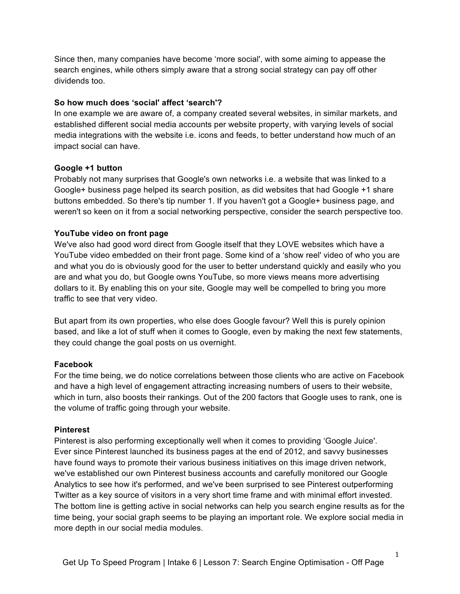Since then, many companies have become 'more social', with some aiming to appease the search engines, while others simply aware that a strong social strategy can pay off other dividends too.

### **So how much does 'social' affect 'search'?**

In one example we are aware of, a company created several websites, in similar markets, and established different social media accounts per website property, with varying levels of social media integrations with the website i.e. icons and feeds, to better understand how much of an impact social can have.

#### **Google +1 button**

Probably not many surprises that Google's own networks i.e. a website that was linked to a Google+ business page helped its search position, as did websites that had Google +1 share buttons embedded. So there's tip number 1. If you haven't got a Google+ business page, and weren't so keen on it from a social networking perspective, consider the search perspective too.

### **YouTube video on front page**

We've also had good word direct from Google itself that they LOVE websites which have a YouTube video embedded on their front page. Some kind of a 'show reel' video of who you are and what you do is obviously good for the user to better understand quickly and easily who you are and what you do, but Google owns YouTube, so more views means more advertising dollars to it. By enabling this on your site, Google may well be compelled to bring you more traffic to see that very video.

But apart from its own properties, who else does Google favour? Well this is purely opinion based, and like a lot of stuff when it comes to Google, even by making the next few statements, they could change the goal posts on us overnight.

### **Facebook**

For the time being, we do notice correlations between those clients who are active on Facebook and have a high level of engagement attracting increasing numbers of users to their website, which in turn, also boosts their rankings. Out of the 200 factors that Google uses to rank, one is the volume of traffic going through your website.

#### **Pinterest**

Pinterest is also performing exceptionally well when it comes to providing 'Google Juice'. Ever since Pinterest launched its business pages at the end of 2012, and savvy businesses have found ways to promote their various business initiatives on this image driven network, we've established our own Pinterest business accounts and carefully monitored our Google Analytics to see how it's performed, and we've been surprised to see Pinterest outperforming Twitter as a key source of visitors in a very short time frame and with minimal effort invested. The bottom line is getting active in social networks can help you search engine results as for the time being, your social graph seems to be playing an important role. We explore social media in more depth in our social media modules.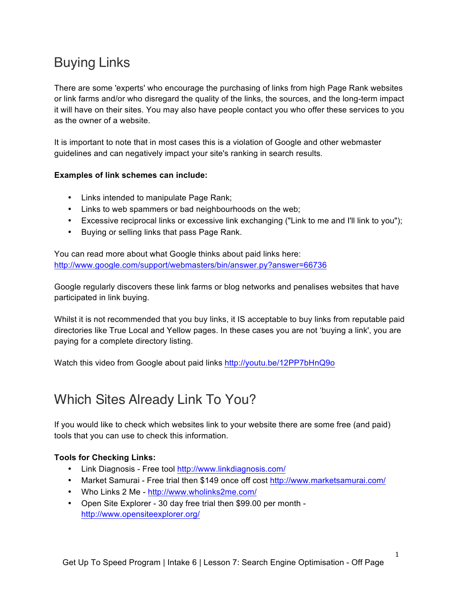# Buying Links

There are some 'experts' who encourage the purchasing of links from high Page Rank websites or link farms and/or who disregard the quality of the links, the sources, and the long-term impact it will have on their sites. You may also have people contact you who offer these services to you as the owner of a website.

It is important to note that in most cases this is a violation of Google and other webmaster guidelines and can negatively impact your site's ranking in search results.

### **Examples of link schemes can include:**

- Links intended to manipulate Page Rank;
- Links to web spammers or bad neighbourhoods on the web;
- Excessive reciprocal links or excessive link exchanging ("Link to me and I'll link to you");
- Buying or selling links that pass Page Rank.

You can read more about what Google thinks about paid links here: http://www.google.com/support/webmasters/bin/answer.py?answer=66736

Google regularly discovers these link farms or blog networks and penalises websites that have participated in link buying.

Whilst it is not recommended that you buy links, it IS acceptable to buy links from reputable paid directories like True Local and Yellow pages. In these cases you are not 'buying a link', you are paying for a complete directory listing.

Watch this video from Google about paid links http://youtu.be/12PP7bHnQ9o

# Which Sites Already Link To You?

If you would like to check which websites link to your website there are some free (and paid) tools that you can use to check this information.

## **Tools for Checking Links:**

- Link Diagnosis Free tool http://www.linkdiagnosis.com/
- Market Samurai Free trial then \$149 once off cost http://www.marketsamurai.com/
- Who Links 2 Me http://www.wholinks2me.com/
- Open Site Explorer 30 day free trial then \$99.00 per month http://www.opensiteexplorer.org/